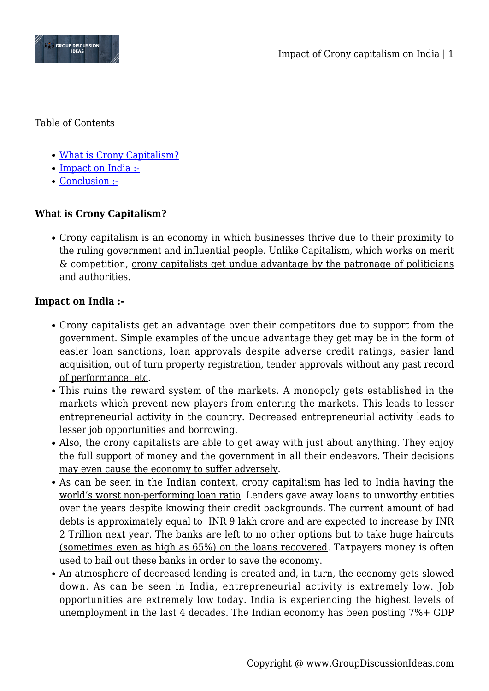

Table of Contents

- [What is Crony Capitalism?](#page--1-0)
- [Impact on India :-](#page--1-0)
- [Conclusion :-](#page--1-0)

## **What is Crony Capitalism?**

• Crony capitalism is an economy in which businesses thrive due to their proximity to the ruling government and influential people. Unlike Capitalism, which works on merit & competition, crony capitalists get undue advantage by the patronage of politicians and authorities.

## **Impact on India :-**

- Crony capitalists get an advantage over their competitors due to support from the government. Simple examples of the undue advantage they get may be in the form of easier loan sanctions, loan approvals despite adverse credit ratings, easier land acquisition, out of turn property registration, tender approvals without any past record of performance, etc.
- This ruins the reward system of the markets. A monopoly gets established in the markets which prevent new players from entering the markets. This leads to lesser entrepreneurial activity in the country. Decreased entrepreneurial activity leads to lesser job opportunities and borrowing.
- Also, the crony capitalists are able to get away with just about anything. They enjoy the full support of money and the government in all their endeavors. Their decisions may even cause the economy to suffer adversely.
- As can be seen in the Indian context, crony capitalism has led to India having the world's worst non-performing loan ratio. Lenders gave away loans to unworthy entities over the years despite knowing their credit backgrounds. The current amount of bad debts is approximately equal to INR 9 lakh crore and are expected to increase by INR 2 Trillion next year. The banks are left to no other options but to take huge haircuts (sometimes even as high as 65%) on the loans recovered. Taxpayers money is often used to bail out these banks in order to save the economy.
- An atmosphere of decreased lending is created and, in turn, the economy gets slowed down. As can be seen in India, entrepreneurial activity is extremely low. Job opportunities are extremely low today. India is experiencing the highest levels of unemployment in the last 4 decades. The Indian economy has been posting 7%+ GDP